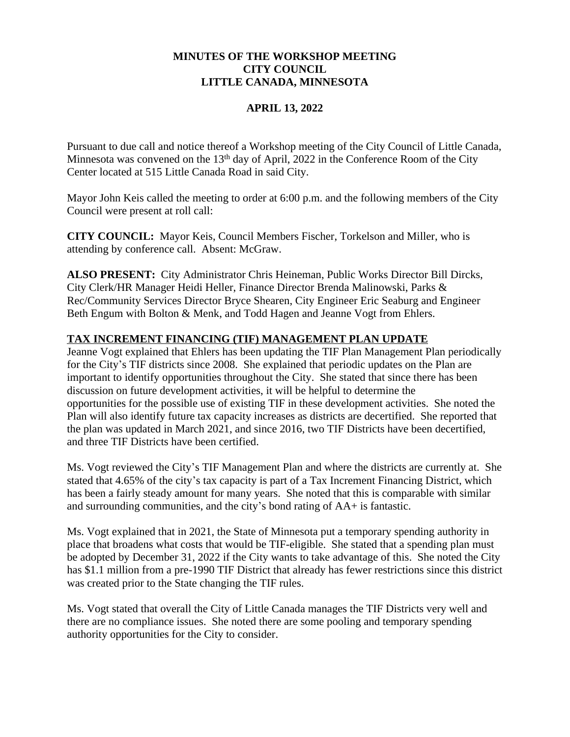## **MINUTES OF THE WORKSHOP MEETING CITY COUNCIL LITTLE CANADA, MINNESOTA**

## **APRIL 13, 2022**

Pursuant to due call and notice thereof a Workshop meeting of the City Council of Little Canada, Minnesota was convened on the  $13<sup>th</sup>$  day of April, 2022 in the Conference Room of the City Center located at 515 Little Canada Road in said City.

Mayor John Keis called the meeting to order at 6:00 p.m. and the following members of the City Council were present at roll call:

**CITY COUNCIL:** Mayor Keis, Council Members Fischer, Torkelson and Miller, who is attending by conference call. Absent: McGraw.

**ALSO PRESENT:** City Administrator Chris Heineman, Public Works Director Bill Dircks, City Clerk/HR Manager Heidi Heller, Finance Director Brenda Malinowski, Parks & Rec/Community Services Director Bryce Shearen, City Engineer Eric Seaburg and Engineer Beth Engum with Bolton & Menk, and Todd Hagen and Jeanne Vogt from Ehlers.

# **TAX INCREMENT FINANCING (TIF) MANAGEMENT PLAN UPDATE**

Jeanne Vogt explained that Ehlers has been updating the TIF Plan Management Plan periodically for the City's TIF districts since 2008. She explained that periodic updates on the Plan are important to identify opportunities throughout the City. She stated that since there has been discussion on future development activities, it will be helpful to determine the opportunities for the possible use of existing TIF in these development activities. She noted the Plan will also identify future tax capacity increases as districts are decertified. She reported that the plan was updated in March 2021, and since 2016, two TIF Districts have been decertified, and three TIF Districts have been certified.

Ms. Vogt reviewed the City's TIF Management Plan and where the districts are currently at. She stated that 4.65% of the city's tax capacity is part of a Tax Increment Financing District, which has been a fairly steady amount for many years. She noted that this is comparable with similar and surrounding communities, and the city's bond rating of AA+ is fantastic.

Ms. Vogt explained that in 2021, the State of Minnesota put a temporary spending authority in place that broadens what costs that would be TIF-eligible. She stated that a spending plan must be adopted by December 31, 2022 if the City wants to take advantage of this. She noted the City has \$1.1 million from a pre-1990 TIF District that already has fewer restrictions since this district was created prior to the State changing the TIF rules.

Ms. Vogt stated that overall the City of Little Canada manages the TIF Districts very well and there are no compliance issues. She noted there are some pooling and temporary spending authority opportunities for the City to consider.